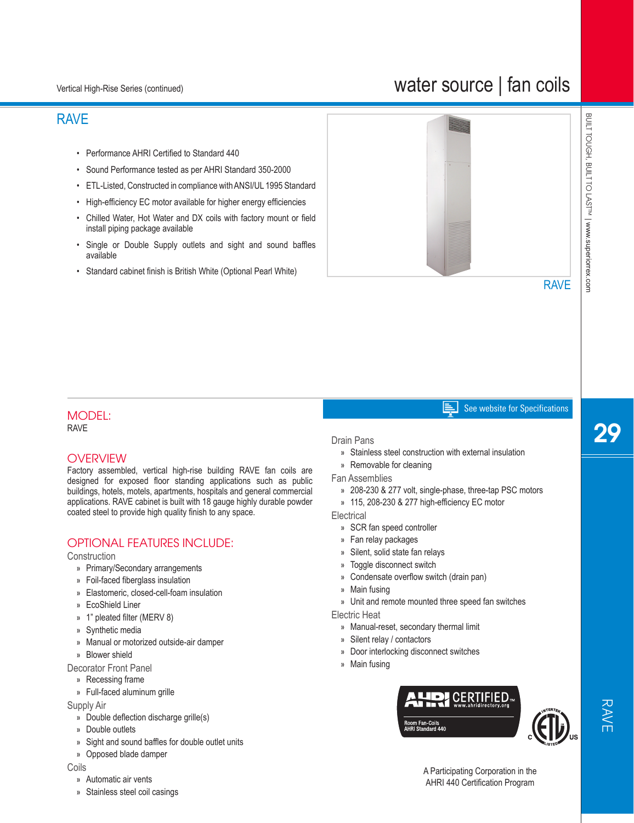# water source | fan coils

## RAVE

- Performance AHRI Certified to Standard 440
- Sound Performance tested as per AHRI Standard 350-2000
- ETL-Listed, Constructed in compliance with ANSI/UL 1995 Standard
- High-efficiency EC motor available for higher energy efficiencies
- Chilled Water, Hot Water and DX coils with factory mount or field install piping package available
- Single or Double Supply outlets and sight and sound baffles available
- Standard cabinet finish is British White (Optional Pearl White)



# BUILT TOUGH, BUILT TO LAST<sup>IM</sup> | www.superiorrex.com BUILT TOUGH, BUILT TO LAST™| www.superiorrex.com

#### See website for Specifications 팈

#### MODEL: RAVE

## **OVERVIEW**

Factory assembled, vertical high-rise building RAVE fan coils are designed for exposed floor standing applications such as public buildings, hotels, motels, apartments, hospitals and general commercial applications. RAVE cabinet is built with 18 gauge highly durable powder coated steel to provide high quality finish to any space.

### OPTIONAL FEATURES INCLUDE:

#### **Construction**

- » Primary/Secondary arrangements
- » Foil-faced fiberglass insulation
- » Elastomeric, closed-cell-foam insulation
- » EcoShield Liner
- » 1" pleated filter (MERV 8)
- » Synthetic media
- » Manual or motorized outside-air damper
- » Blower shield
- Decorator Front Panel
- » Recessing frame
- » Full-faced aluminum grille

#### Supply Air

- » Double deflection discharge grille(s)
- » Double outlets
- » Sight and sound baffles for double outlet units
- » Opposed blade damper

#### Coils

- » Automatic air vents
- » Stainless steel coil casings

#### Drain Pans

- » Stainless steel construction with external insulation
- » Removable for cleaning
- Fan Assemblies
	- » 208-230 & 277 volt, single-phase, three-tap PSC motors
	- » 115, 208-230 & 277 high-efficiency EC motor

**Electrical** 

- » SCR fan speed controller
- » Fan relay packages
- » Silent, solid state fan relays
- » Toggle disconnect switch
- » Condensate overflow switch (drain pan)
- » Main fusing
- » Unit and remote mounted three speed fan switches

Electric Heat

- » Manual-reset, secondary thermal limit
- » Silent relay / contactors
- » Door interlocking disconnect switches
- » Main fusing





RAVE

A Participating Corporation in the AHRI 440 Certification Program